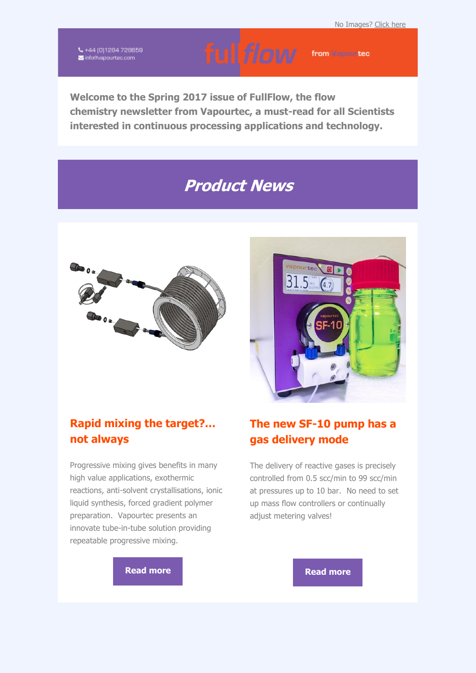$\zeta$  +44 (0)1284 728659<br>Minfo@vapourtec.com

ful flow from Vapour tec

**Welcome to the Spring 2017 issue of FullFlow, the flow chemistry newsletter from Vapourtec, a must-read for all Scientists interested in continuous processing applications and technology.**

# **Product News**





#### **Rapid mixing the target?… not always**

Progressive mixing gives benefits in many high value applications, exothermic reactions, anti-solvent crystallisations, ionic liquid synthesis, forced gradient polymer preparation. Vapourtec presents an innovate tube-in-tube solution providing repeatable progressive mixing.

#### **The new SF-10 pump has a gas delivery mode**

The delivery of reactive gases is precisely controlled from 0.5 scc/min to 99 scc/min at pressures up to 10 bar. No need to set up mass flow controllers or continually adjust metering valves!

**[Read more](http://vapourtec.createsend1.com/t/r-l-yutuihyk-l-i/) Read more**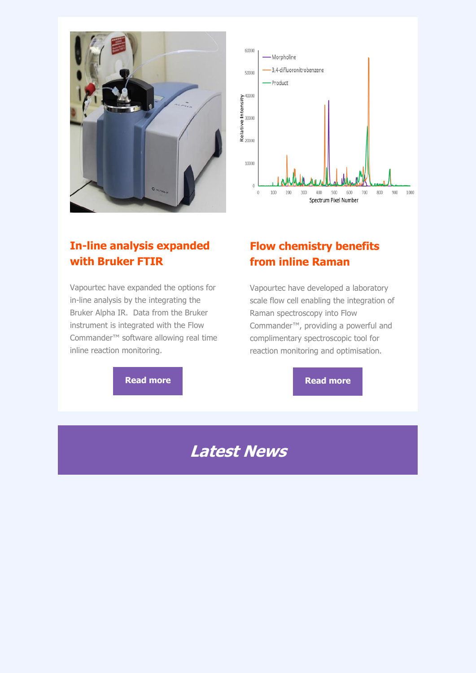



#### **In-line analysis expanded with Bruker FTIR**

Vapourtec have expanded the options for in-line analysis by the integrating the Bruker Alpha IR. Data from the Bruker instrument is integrated with the Flow Commander™ software allowing real time inline reaction monitoring.

#### **Flow chemistry benefits from inline Raman**

Vapourtec have developed a laboratory scale flow cell enabling the integration of Raman spectroscopy into Flow Commander™, providing a powerful and complimentary spectroscopic tool for reaction monitoring and optimisation.

#### **[Read more](http://vapourtec.createsend1.com/t/r-l-yutuihyk-l-u/) Read more**

# **Latest News**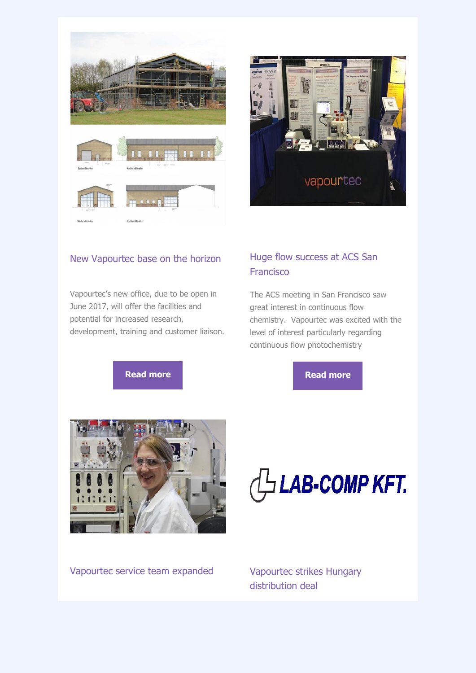



#### New Vapourtec base on the horizon

Vapourtec's new office, due to be open in June 2017, will offer the facilities and potential for increased research, development, training and customer liaison.

#### Huge flow success at ACS San Francisco

The ACS meeting in San Francisco saw great interest in continuous flow chemistry. Vapourtec was excited with the level of interest particularly regarding continuous flow photochemistry

#### **[Read more](http://vapourtec.createsend1.com/t/r-l-yutuihyk-l-p/) Read more Read more**





Vapourtec service team expanded Vapourtec strikes Hungary

# distribution deal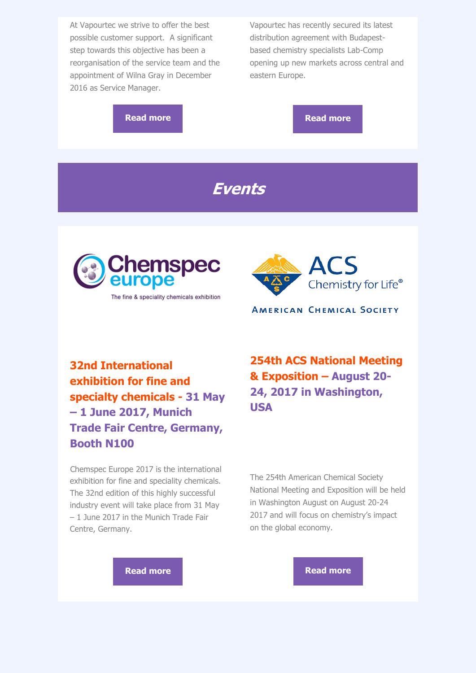At Vapourtec we strive to offer the best possible customer support. A significant step towards this objective has been a reorganisation of the service team and the appointment of Wilna Gray in December 2016 as Service Manager.

Vapourtec has recently secured its latest distribution agreement with Budapestbased chemistry specialists Lab-Comp opening up new markets across central and eastern Europe.

**[Read more](http://vapourtec.createsend1.com/t/r-l-yutuihyk-l-q/) Read more** 

#### **Events**



The fine & speciality chemicals exhibition



**AMERICAN CHEMICAL SOCIETY** 

#### **32nd International exhibition for fine and specialty chemicals - 31 May – 1 June 2017, Munich Trade Fair Centre, Germany, Booth N100**

Chemspec Europe 2017 is the international exhibition for fine and speciality chemicals. The 32nd edition of this highly successful industry event will take place from 31 May – 1 June 2017 in the Munich Trade Fair Centre, Germany.

**254th ACS National Meeting & Exposition – August 20- 24, 2017 in Washington, USA**

The 254th American Chemical Society National Meeting and Exposition will be held in Washington August on August 20-24 2017 and will focus on chemistry's impact on the global economy.

**[Read more](http://vapourtec.createsend1.com/t/r-l-yutuihyk-l-v/) Read more**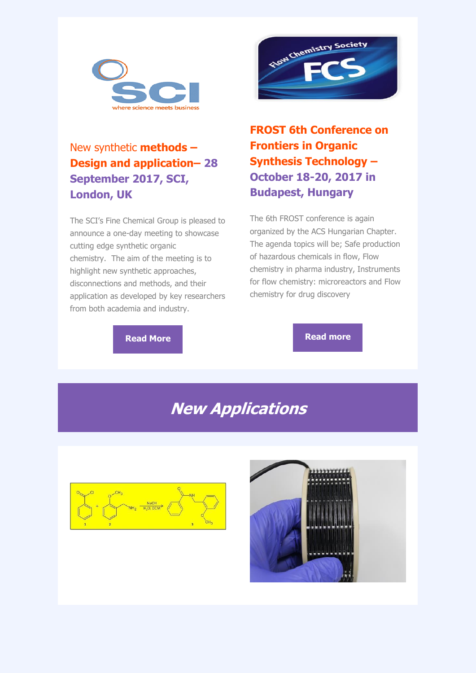



#### New synthetic **methods – Design and application– 28 September 2017, SCI, London, UK**

The SCI's Fine Chemical Group is pleased to announce a one-day meeting to showcase cutting edge synthetic organic chemistry. The aim of the meeting is to highlight new synthetic approaches, disconnections and methods, and their application as developed by key researchers from both academia and industry.

**FROST 6th Conference on Frontiers in Organic Synthesis Technology – October 18-20, 2017 in Budapest, Hungary**

The 6th FROST conference is again organized by the ACS Hungarian Chapter. The agenda topics will be; Safe production of hazardous chemicals in flow, Flow chemistry in pharma industry, Instruments for flow chemistry: microreactors and Flow chemistry for drug discovery

**[Read More](http://vapourtec.createsend1.com/t/r-l-yutuihyk-l-s/) [Read more](http://vapourtec.createsend1.com/t/r-l-yutuihyk-l-w/)** 

# **New Applications**



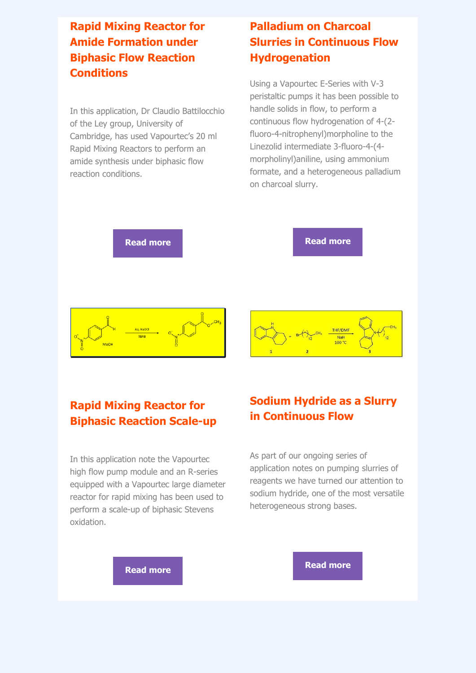#### **Rapid Mixing Reactor for Amide Formation under Biphasic Flow Reaction Conditions**

In this application, Dr Claudio Battilocchio of the Ley group, University of Cambridge, has used Vapourtec's 20 ml Rapid Mixing Reactors to perform an amide synthesis under biphasic flow reaction conditions.

#### **Palladium on Charcoal Slurries in Continuous Flow Hydrogenation**

Using a Vapourtec E-Series with V-3 peristaltic pumps it has been possible to handle solids in flow, to perform a continuous flow hydrogenation of 4-(2 fluoro-4-nitrophenyl)morpholine to the Linezolid intermediate 3-fluoro-4-(4 morpholinyl)aniline, using ammonium formate, and a heterogeneous palladium on charcoal slurry.



#### **Rapid Mixing Reactor for Biphasic Reaction Scale-up**

In this application note the Vapourtec high flow pump module and an R-series equipped with a Vapourtec large diameter reactor for rapid mixing has been used to perform a scale-up of biphasic Stevens oxidation.

#### **Sodium Hydride as a Slurry in Continuous Flow**

As part of our ongoing series of application notes on pumping slurries of reagents we have turned our attention to sodium hydride, one of the most versatile heterogeneous strong bases.

**[Read more](http://vapourtec.createsend1.com/t/r-l-yutuihyk-l-jr/) [Read more](http://vapourtec.createsend1.com/t/r-l-yutuihyk-l-jj/)**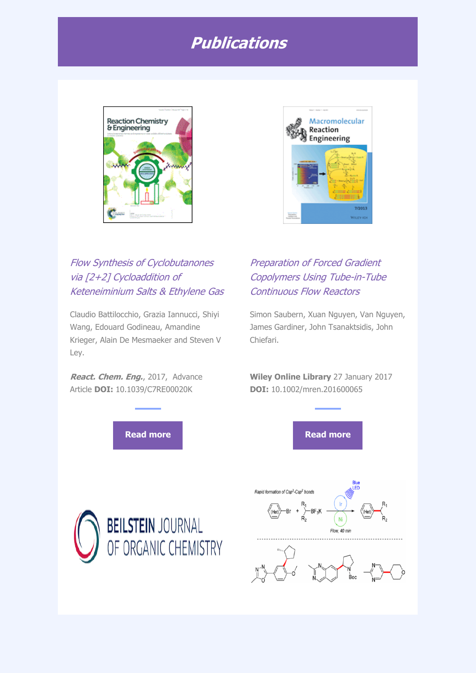## **Publications**



### Flow Synthesis of Cyclobutanones via [2+2] Cycloaddition of Keteneiminium Salts & Ethylene Gas

Claudio Battilocchio, Grazia Iannucci, Shiyi Wang, Edouard Godineau, Amandine Krieger, Alain De Mesmaeker and Steven V Ley.

**React. Chem. Eng.**, 2017, Advance Article **DOI:** 10.1039/C7RE00020K



#### Preparation of Forced Gradient Copolymers Using Tube-in-Tube Continuous Flow Reactors

Simon Saubern, Xuan Nguyen, Van Nguyen, James Gardiner, John Tsanaktsidis, John Chiefari.

**Wiley Online Library** 27 January 2017 **DOI:** 10.1002/mren.201600065





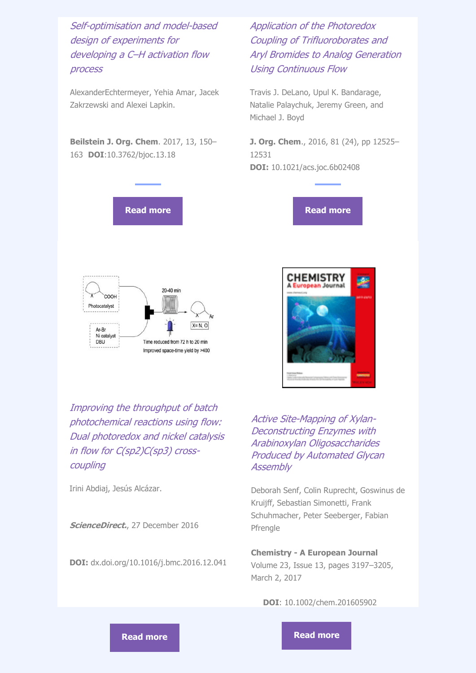Self-optimisation and model-based design of experiments for developing a C–H activation flow process

AlexanderEchtermeyer, Yehia Amar, Jacek Zakrzewski and Alexei Lapkin.

**Beilstein J. Org. Chem**. 2017, 13, 150– 163 **DOI**:10.3762/bjoc.13.18





Application of the Photoredox Coupling of Trifluoroborates and Aryl Bromides to Analog Generation Using Continuous Flow

Travis J. DeLano, Upul K. Bandarage, Natalie Palaychuk, Jeremy Green, and Michael J. Boyd

**J. Org. Chem**., 2016, 81 (24), pp 12525– 12531 **DOI:** 10.1021/acs.joc.6b02408





Improving the throughput of batch photochemical reactions using flow: Dual photoredox and nickel catalysis in flow for C(sp2)C(sp3) crosscoupling

Irini Abdiaj, Jesús Alcázar.

**ScienceDirect.**, 27 December 2016

**DOI:** dx.doi.org/10.1016/j.bmc.2016.12.041

Active Site-Mapping of Xylan-Deconstructing Enzymes with Arabinoxylan Oligosaccharides Produced by Automated Glycan **Assembly** 

Deborah Senf, Colin Ruprecht, Goswinus de Kruijff, Sebastian Simonetti, Frank Schuhmacher, Peter Seeberger, Fabian Pfrengle

**Chemistry - A European Journal**

Volume 23, Issue 13, pages 3197–3205, March 2, 2017

**DOI**: 10.1002/chem.201605902